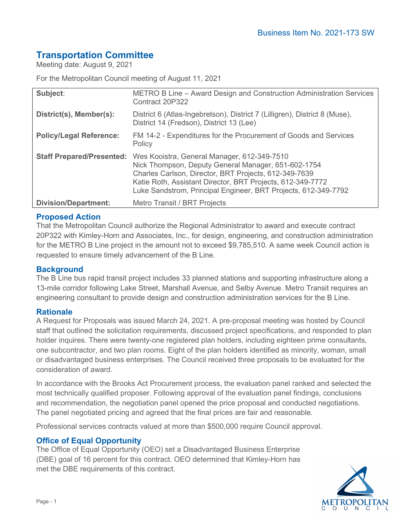# **Transportation Committee**

Meeting date: August 9, 2021

For the Metropolitan Council meeting of August 11, 2021

| Subject:                         | METRO B Line – Award Design and Construction Administration Services<br>Contract 20P322                                                                                                                                                                                                     |
|----------------------------------|---------------------------------------------------------------------------------------------------------------------------------------------------------------------------------------------------------------------------------------------------------------------------------------------|
| District(s), Member(s):          | District 6 (Atlas-Ingebretson), District 7 (Lilligren), District 8 (Muse),<br>District 14 (Fredson), District 13 (Lee)                                                                                                                                                                      |
| <b>Policy/Legal Reference:</b>   | FM 14-2 - Expenditures for the Procurement of Goods and Services<br>Policy                                                                                                                                                                                                                  |
| <b>Staff Prepared/Presented:</b> | Wes Kooistra, General Manager, 612-349-7510<br>Nick Thompson, Deputy General Manager, 651-602-1754<br>Charles Carlson, Director, BRT Projects, 612-349-7639<br>Katie Roth, Assistant Director, BRT Projects, 612-349-7772<br>Luke Sandstrom, Principal Engineer, BRT Projects, 612-349-7792 |
| <b>Division/Department:</b>      | <b>Metro Transit / BRT Projects</b>                                                                                                                                                                                                                                                         |

## **Proposed Action**

That the Metropolitan Council authorize the Regional Administrator to award and execute contract 20P322 with Kimley-Horn and Associates, Inc., for design, engineering, and construction administration for the METRO B Line project in the amount not to exceed \$9,785,510. A same week Council action is requested to ensure timely advancement of the B Line.

## **Background**

The B Line bus rapid transit project includes 33 planned stations and supporting infrastructure along a 13-mile corridor following Lake Street, Marshall Avenue, and Selby Avenue. Metro Transit requires an engineering consultant to provide design and construction administration services for the B Line.

#### **Rationale**

A Request for Proposals was issued March 24, 2021. A pre-proposal meeting was hosted by Council staff that outlined the solicitation requirements, discussed project specifications, and responded to plan holder inquires. There were twenty-one registered plan holders, including eighteen prime consultants, one subcontractor, and two plan rooms. Eight of the plan holders identified as minority, woman, small or disadvantaged business enterprises. The Council received three proposals to be evaluated for the consideration of award.

In accordance with the Brooks Act Procurement process, the evaluation panel ranked and selected the most technically qualified proposer. Following approval of the evaluation panel findings, conclusions and recommendation, the negotiation panel opened the price proposal and conducted negotiations. The panel negotiated pricing and agreed that the final prices are fair and reasonable.

Professional services contracts valued at more than \$500,000 require Council approval.

## **Office of Equal Opportunity**

The Office of Equal Opportunity (OEO) set a Disadvantaged Business Enterprise (DBE) goal of 16 percent for this contract. OEO determined that Kimley-Horn has met the DBE requirements of this contract.